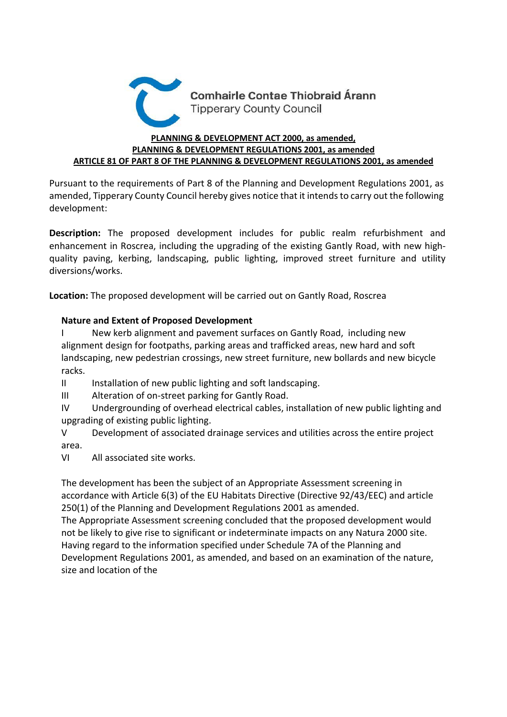

## **PLANNING & DEVELOPMENT ACT 2000, as amended, PLANNING & DEVELOPMENT REGULATIONS 2001, as amended ARTICLE 81 OF PART 8 OF THE PLANNING & DEVELOPMENT REGULATIONS 2001, as amended**

Pursuant to the requirements of Part 8 of the Planning and Development Regulations 2001, as amended, Tipperary County Council hereby gives notice that it intends to carry out the following development:

**Description:** The proposed development includes for public realm refurbishment and enhancement in Roscrea, including the upgrading of the existing Gantly Road, with new highquality paving, kerbing, landscaping, public lighting, improved street furniture and utility diversions/works.

**Location:** The proposed development will be carried out on Gantly Road, Roscrea

## **Nature and Extent of Proposed Development**

I New kerb alignment and pavement surfaces on Gantly Road, including new alignment design for footpaths, parking areas and trafficked areas, new hard and soft landscaping, new pedestrian crossings, new street furniture, new bollards and new bicycle racks.

II Installation of new public lighting and soft landscaping.

III Alteration of on-street parking for Gantly Road.

IV Undergrounding of overhead electrical cables, installation of new public lighting and upgrading of existing public lighting.

V Development of associated drainage services and utilities across the entire project area.

VI All associated site works.

The development has been the subject of an Appropriate Assessment screening in accordance with Article 6(3) of the EU Habitats Directive (Directive 92/43/EEC) and article 250(1) of the Planning and Development Regulations 2001 as amended.

The Appropriate Assessment screening concluded that the proposed development would not be likely to give rise to significant or indeterminate impacts on any Natura 2000 site. Having regard to the information specified under Schedule 7A of the Planning and Development Regulations 2001, as amended, and based on an examination of the nature, size and location of the